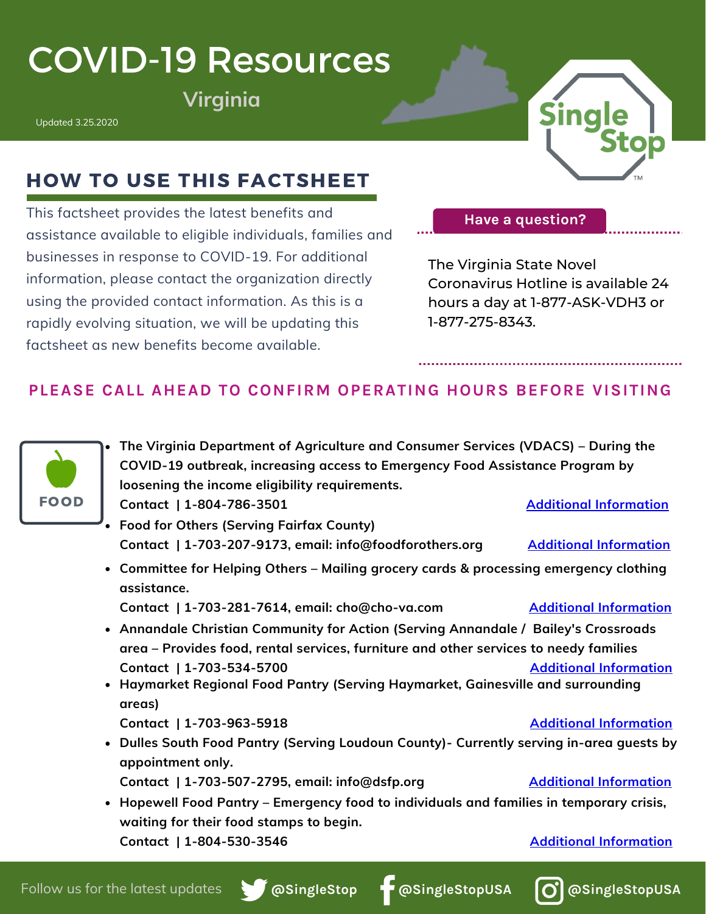# COVID-19 Resources

 $V$ irginia

Updated 3.25.2020



## HOW TO USE THIS FACTSHEET

This factsheet provides the latest benefits and assistance available to eligible individuals, families and businesses in response to COVID-19. For additional information, please contact the organization directly using the provided contact information. As this is a rapidly evolving situation, we will be updating this factsheet as new benefits become available.

**Have a question?**

The Virginia State Novel Coronavirus Hotline is available 24 hours a day at 1-877-ASK-VDH3 or 1-877-275-8343.

### **PLEASE CALL AHEAD TO CONFIRM OPERATING HOURS BEFORE VISITING**



**The Virginia Department of Agriculture and Consumer Services (VDACS) – During the COVID-19 outbreak, increasing access to Emergency Food Assistance Program by loosening the income eligibility requirements.**

- **Food for Others (Serving Fairfax County) Contact | 1-703-207-9173, email: info@foodforothers.org Additional [Information](https://www.foodforothers.org/)**
- **Committee for Helping Others – Mailing grocery cards & processing emergency clothing assistance.**

**Contact | 1-703-281-7614, email: cho@cho-va.com Additional [Information](https://cho-va.com/)**

- **Annandale Christian Community for Action (Serving Annandale / Bailey's Crossroads area – Provides food, rental services, furniture and other services to needy families Contact | 1-703-534-5700 Additional [Information](https://accacares.org/)**
- **Haymarket Regional Food Pantry (Serving Haymarket, Gainesville and surrounding areas)**
	- **Contact | 1-703-963-5918 Additional [Information](https://haymarketfoodpantry.org/contact-hrfp/)**
- **Dulles South Food Pantry (Serving Loudoun County)- Currently serving in-area guests by appointment only.**
	- **Contact | 1-703-507-2795, email: info@dsfp.org Additional [Information](https://www.dsfp.org/)**
- **Hopewell Food Pantry – Emergency food to individuals and families in temporary crisis, waiting for their food stamps to begin. Contact | 1-804-530-3546 Additional [Information](http://www.hopewellfoodpantry.com/contact.html)**

**@SingleStop @SingleStopUSA**



**Contact | 1-804-786-3501 Additional [Information](http://www.vdacs.virginia.gov/)**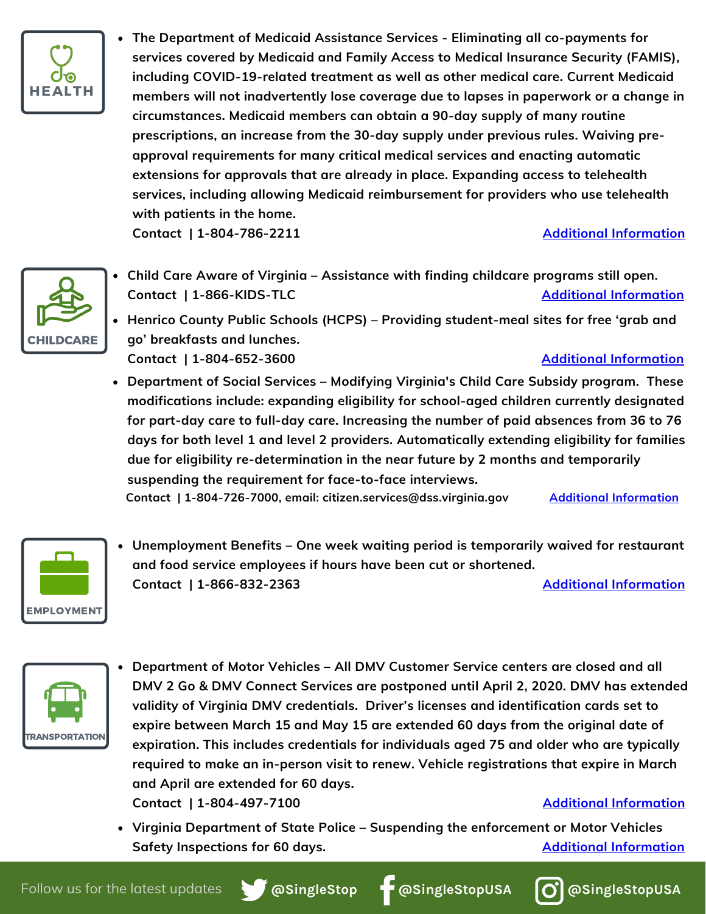

**The Department of Medicaid Assistance Services - Eliminating all co-payments for services covered by Medicaid and Family Access to Medical Insurance Security (FAMIS), including COVID-19-related treatment as well as other medical care. Current Medicaid members will not inadvertently lose coverage due to lapses in paperwork or a change in circumstances. Medicaid members can obtain a 90-day supply of many routine prescriptions, an increase from the 30-day supply under previous rules. Waiving preapproval requirements for many critical medical services and enacting automatic extensions for approvals that are already in place. Expanding access to telehealth services, including allowing Medicaid reimbursement for providers who use telehealth with patients in the home.**

**Contact | 1-804-786-2211 Additional [Information](https://www.governor.virginia.gov/newsroom/all-releases/2020/march/headline-854722-en.html)**



**Child Care Aware of Virginia – Assistance with finding childcare programs still open. Contact** | 1-866-KIDS-TLC **Additional [Information](http://va.childcareaware.org/)** 

**Henrico County Public Schools (HCPS) – Providing student-meal sites for free 'grab and go' breakfasts and lunches.**

**Contact | 1-804-652-3600 Additional [Information](https://henricoschools.us/covid19/grab-and-go-breakfasts-and-lunches/)**

**Department of Social Services – Modifying Virginia's Child Care Subsidy program. These modifications include: expanding eligibility for school-aged children currently designated for part-day care to full-day care. Increasing the number of paid absences from 36 to 76 days for both level 1 and level 2 providers. Automatically extending eligibility for families due for eligibility re-determination in the near future by 2 months and temporarily suspending the requirement for face-to-face interviews.**

**Contact | 1-804-726-7000, email: citizen.services@dss.virginia.gov Additional [Information](https://www.dss.virginia.gov/geninfo/corona.cgi)**



**Unemployment Benefits – One week waiting period is temporarily waived for restaurant and food service employees if hours have been cut or shortened. Contact | 1-866-832-2363 Additional [Information](http://www.vec.virginia.gov/unemployed)**



- **Department of Motor Vehicles – All DMV Customer Service centers are closed and all DMV 2 Go & DMV Connect Services are postponed until April 2, 2020. DMV has extended validity of Virginia DMV credentials. Driver's licenses and identification cards set to expire between March 15 and May 15 are extended 60 days from the original date of expiration. This includes credentials for individuals aged 75 and older who are typically required to make an in-person visit to renew. Vehicle registrations that expire in March and April are extended for 60 days. Contact | 1-804-497-7100 Additional [Information](https://www.dmv.virginia.gov/general/#covid19.asp)**
- **Virginia Department of State Police – Suspending the enforcement or Motor Vehicles Safety Inspections for 60 days. Additional [Information](https://www.governor.virginia.gov/media/governorvirginiagov/executive-actions/ED-8-Directing-the-Superintendent-of-the-Virginia-Department-of-State-Police-to-Take-Certain-Administrative-Action-Due-to-the-Novel-Coronavirus-(COVID-19).pdf)**